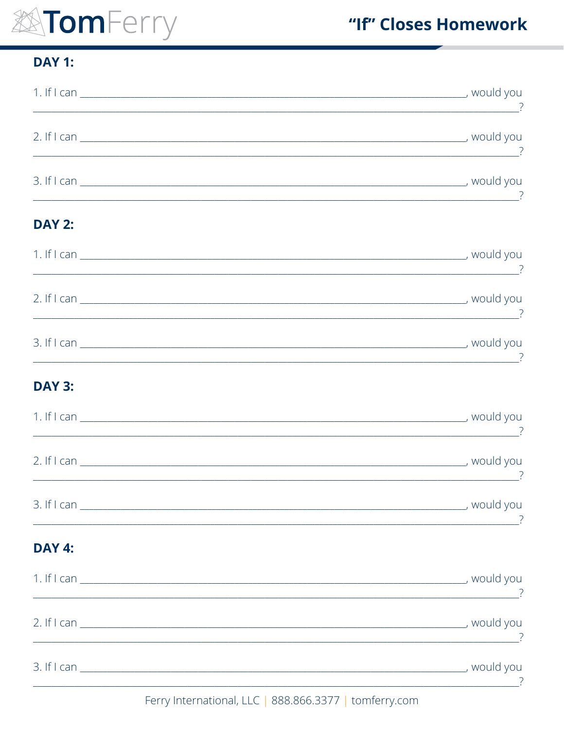# EXTomFerry

### **DAY 1:**

| <b>DAY 2:</b>                                                                                                        |          |
|----------------------------------------------------------------------------------------------------------------------|----------|
|                                                                                                                      | <u>.</u> |
|                                                                                                                      |          |
|                                                                                                                      |          |
| <b>DAY 3:</b>                                                                                                        |          |
| <u> 1980 - Johann John Stone, mars et al. (</u>                                                                      |          |
|                                                                                                                      |          |
| <u>s</u>                                                                                                             |          |
| <b>DAY 4:</b>                                                                                                        |          |
| <u> 1989 - Johann Harry Barn, mars ar y brening ar y brening ar y brening ar y brening ar y brening ar y brening</u> |          |
| <u> 1989 - Johann Barnett, fransk politiker (d. 1989)</u>                                                            |          |
|                                                                                                                      |          |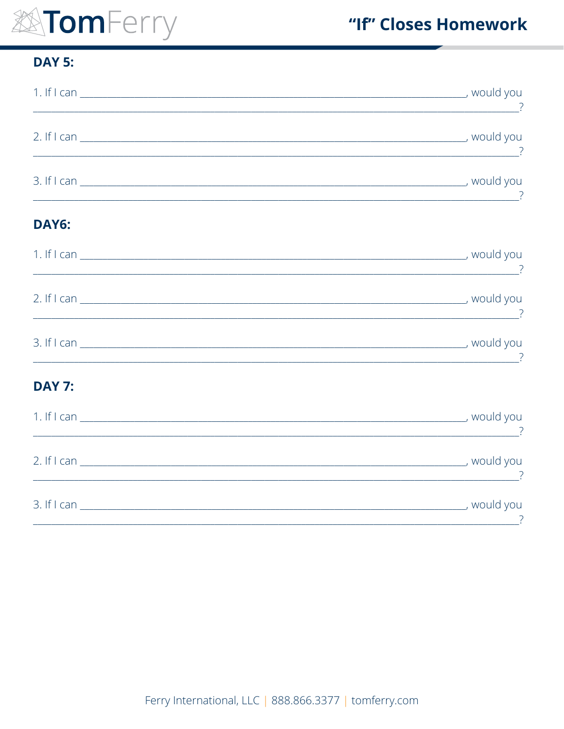# EXTomFerry

### "If" Closes Homework

### **DAY 5:**

| DAY6:         |                                                                                                                           |
|---------------|---------------------------------------------------------------------------------------------------------------------------|
|               |                                                                                                                           |
|               | $\overline{\phantom{a}}$ , and the contract of the contract of the contract of the contract of $\overline{\phantom{a}}$ , |
|               | <u>se a componente de la componenta de la componenta de la componenta de la componenta de la componenta de la co</u>      |
| <b>DAY 7:</b> |                                                                                                                           |
|               |                                                                                                                           |
|               |                                                                                                                           |
|               |                                                                                                                           |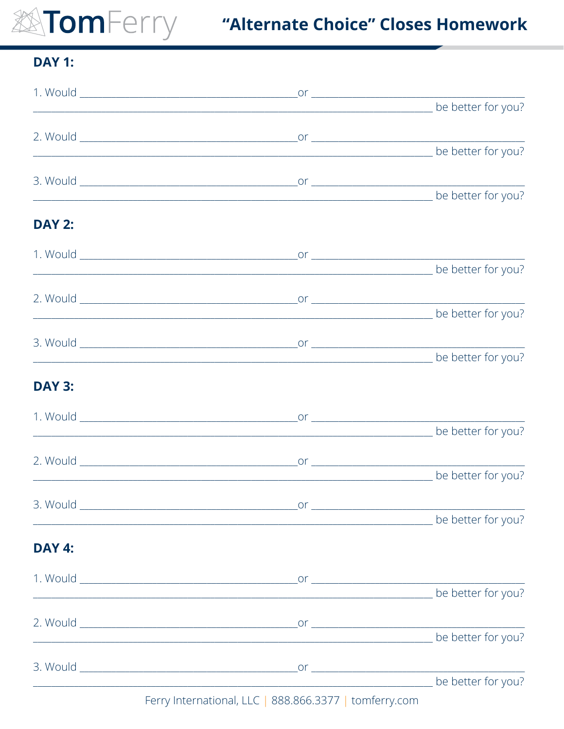## **XATOMFerry Convertional Materia areas Choice" Closes Homework**

### **DAY 1:**

|               | be better for you?                                                                                                    |                    |
|---------------|-----------------------------------------------------------------------------------------------------------------------|--------------------|
|               |                                                                                                                       |                    |
|               | be better for you?                                                                                                    |                    |
|               |                                                                                                                       |                    |
|               |                                                                                                                       |                    |
| <b>DAY 2:</b> |                                                                                                                       |                    |
|               |                                                                                                                       |                    |
|               |                                                                                                                       |                    |
|               |                                                                                                                       |                    |
|               | <u> 1989 - Johann Barn, mars ar breithinn ar chwaraeth a bhaile ann an 1992. Bhaile ann an 1992 an t-Alban ann an</u> | be better for you? |
|               |                                                                                                                       |                    |
|               |                                                                                                                       |                    |
| <b>DAY 3:</b> |                                                                                                                       |                    |
|               |                                                                                                                       |                    |
|               |                                                                                                                       |                    |
|               |                                                                                                                       |                    |
|               |                                                                                                                       |                    |
|               |                                                                                                                       |                    |
|               |                                                                                                                       |                    |
| <b>DAY 4:</b> |                                                                                                                       |                    |
|               |                                                                                                                       |                    |
|               |                                                                                                                       |                    |
|               |                                                                                                                       |                    |
|               |                                                                                                                       |                    |
|               |                                                                                                                       |                    |
|               | be better for you?                                                                                                    |                    |

Ferry International, LLC | 888.866.3377 | tomferry.com